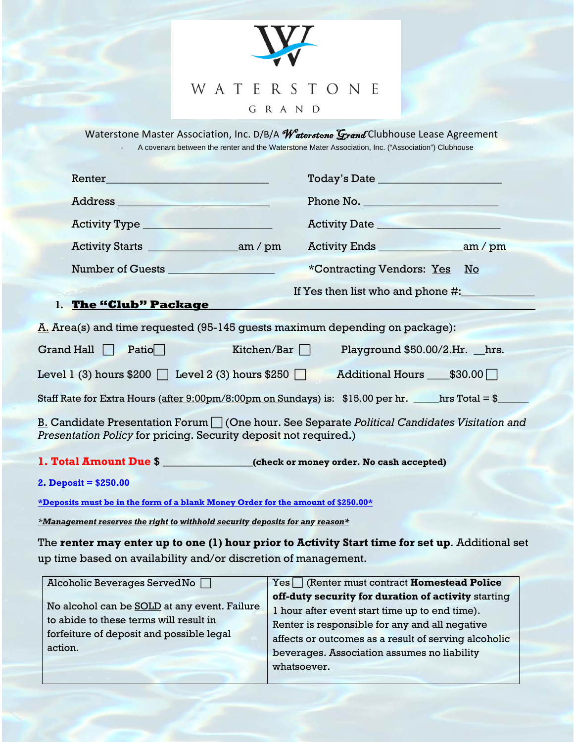

Waterstone Master Association, Inc. D/B/A Waterstone Grand Clubhouse Lease Agreement ‐ A covenant between the renter and the Waterstone Mater Association, Inc. ("Association") Clubhouse

| Renter                                                                                                                                                                                          |                                                                          |  |  |
|-------------------------------------------------------------------------------------------------------------------------------------------------------------------------------------------------|--------------------------------------------------------------------------|--|--|
|                                                                                                                                                                                                 | Phone No.                                                                |  |  |
| Activity Type ______________________                                                                                                                                                            |                                                                          |  |  |
|                                                                                                                                                                                                 |                                                                          |  |  |
| Number of Guests <u>superior and the set of Guests</u>                                                                                                                                          | *Contracting Vendors: Yes No                                             |  |  |
|                                                                                                                                                                                                 | If Yes then list who and phone #:                                        |  |  |
|                                                                                                                                                                                                 |                                                                          |  |  |
| <u>A.</u> Area(s) and time requested (95-145 guests maximum depending on package):                                                                                                              |                                                                          |  |  |
|                                                                                                                                                                                                 | Grand Hall $\Box$ Patio Kitchen/Bar $\Box$ Playground \$50.00/2.Hr. hrs. |  |  |
| Level 1 (3) hours $$200$ $\Box$ Level 2 (3) hours $$250$ $\Box$<br>Additional Hours ____\$30.00                                                                                                 |                                                                          |  |  |
| Staff Rate for Extra Hours ( <u>after 9:00pm/8:00pm on Sundays</u> ) is:   \$15.00 per hr. ______hrs Total = \$____                                                                             |                                                                          |  |  |
| <u>B. Candidate Presentation Forum <math>\Box</math> (One hour. See Separate <i>Political Candidates Visitation and</i></u><br>Presentation Policy for pricing. Security deposit not required.) |                                                                          |  |  |
|                                                                                                                                                                                                 |                                                                          |  |  |
| 1. Total Amount Due \$                                                                                                                                                                          |                                                                          |  |  |
| 2. Deposit = $$250.00$                                                                                                                                                                          |                                                                          |  |  |
| *Deposits must be in the form of a blank Money Order for the amount of \$250.00*                                                                                                                |                                                                          |  |  |

*\*Management reserves the right to withhold security deposits for any reason\**

The **renter may enter up to one (1) hour prior to Activity Start time for set up**. Additional set up time based on availability and/or discretion of management.

| Alcoholic Beverages Served No                | $Yes \frown$ (Renter must contract <b>Homestead Police</b> ) |
|----------------------------------------------|--------------------------------------------------------------|
|                                              | off-duty security for duration of activity starting          |
| No alcohol can be SOLD at any event. Failure | I hour after event start time up to end time).               |
| to abide to these terms will result in       | Renter is responsible for any and all negative               |
| forfeiture of deposit and possible legal     | affects or outcomes as a result of serving alcoholic         |
| action.                                      | beverages. Association assumes no liability                  |
|                                              | whatsoever.                                                  |
|                                              |                                                              |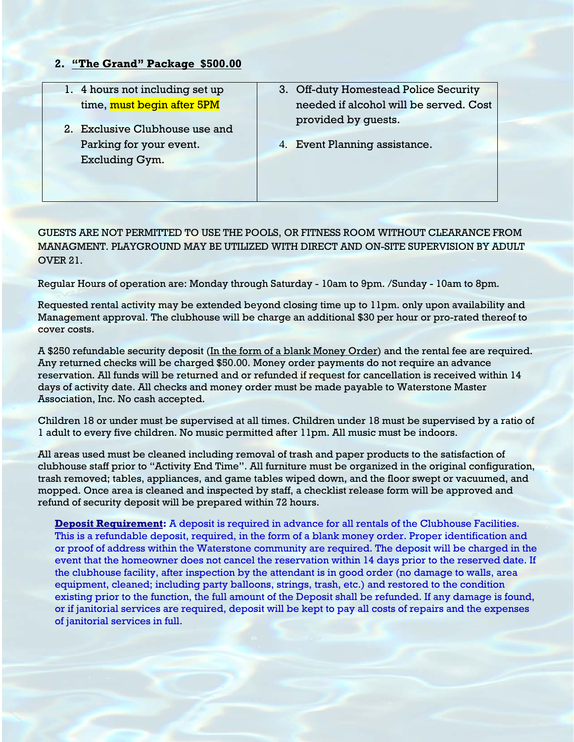## **2. "The Grand" Package \$500.00**

- 1. 4 hours not including set up time, must begin after 5PM
- 2. Exclusive Clubhouse use and Parking for your event. Excluding Gym.
- 3. Off-duty Homestead Police Security needed if alcohol will be served. Cost provided by guests.
- 4. Event Planning assistance.

## GUESTS ARE NOT PERMITTED TO USE THE POOLS, OR FITNESS ROOM WITHOUT CLEARANCE FROM MANAGMENT. PLAYGROUND MAY BE UTILIZED WITH DIRECT AND ON-SITE SUPERVISION BY ADULT OVER 21.

Regular Hours of operation are: Monday through Saturday - 10am to 9pm. /Sunday - 10am to 8pm.

Requested rental activity may be extended beyond closing time up to 11pm. only upon availability and Management approval. The clubhouse will be charge an additional \$30 per hour or pro-rated thereof to cover costs.

A \$250 refundable security deposit (In the form of a blank Money Order) and the rental fee are required. Any returned checks will be charged \$50.00. Money order payments do not require an advance reservation. All funds will be returned and or refunded if request for cancellation is received within 14 days of activity date. All checks and money order must be made payable to Waterstone Master Association, Inc. No cash accepted.

Children 18 or under must be supervised at all times. Children under 18 must be supervised by a ratio of 1 adult to every five children. No music permitted after 11pm. All music must be indoors.

All areas used must be cleaned including removal of trash and paper products to the satisfaction of clubhouse staff prior to "Activity End Time". All furniture must be organized in the original configuration, trash removed; tables, appliances, and game tables wiped down, and the floor swept or vacuumed, and mopped. Once area is cleaned and inspected by staff, a checklist release form will be approved and refund of security deposit will be prepared within 72 hours.

**Deposit Requirement:** A deposit is required in advance for all rentals of the Clubhouse Facilities. This is a refundable deposit, required, in the form of a blank money order. Proper identification and or proof of address within the Waterstone community are required. The deposit will be charged in the event that the homeowner does not cancel the reservation within 14 days prior to the reserved date. If the clubhouse facility, after inspection by the attendant is in good order (no damage to walls, area equipment, cleaned; including party balloons, strings, trash, etc.) and restored to the condition existing prior to the function, the full amount of the Deposit shall be refunded. If any damage is found, or if janitorial services are required, deposit will be kept to pay all costs of repairs and the expenses of janitorial services in full.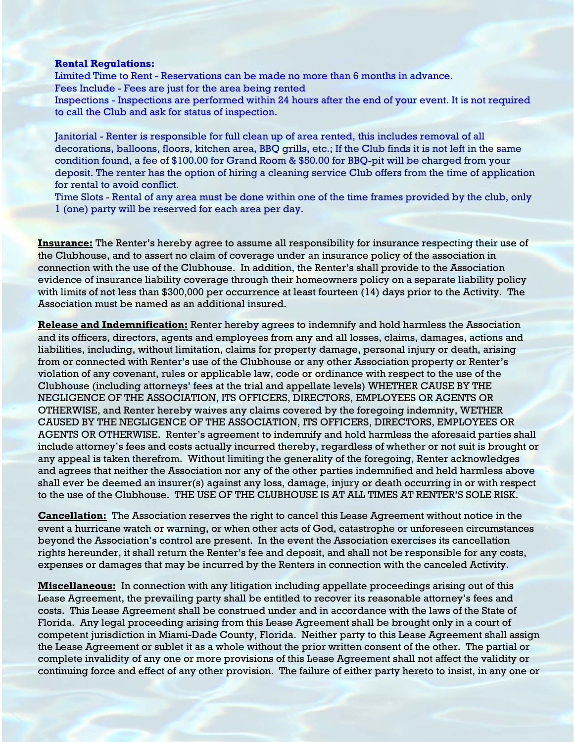## **Rental Regulations:**

Limited Time to Rent - Reservations can be made no more than 6 months in advance. Fees Include - Fees are just for the area being rented Inspections - Inspections are performed within 24 hours after the end of your event. It is not required to call the Club and ask for status of inspection.

Janitorial - Renter is responsible for full clean up of area rented, this includes removal of all decorations, balloons, floors, kitchen area, BBQ grills, etc.; If the Club finds it is not left in the same condition found, a fee of \$100.00 for Grand Room & \$50.00 for BBQ-pit will be charged from your deposit. The renter has the option of hiring a cleaning service Club offers from the time of application for rental to avoid conflict.

Time Slots - Rental of any area must be done within one of the time frames provided by the club, only 1 (one) party will be reserved for each area per day.

**Insurance:** The Renter's hereby agree to assume all responsibility for insurance respecting their use of the Clubhouse, and to assert no claim of coverage under an insurance policy of the association in connection with the use of the Clubhouse. In addition, the Renter's shall provide to the Association evidence of insurance liability coverage through their homeowners policy on a separate liability policy with limits of not less than \$300,000 per occurrence at least fourteen (14) days prior to the Activity. The Association must be named as an additional insured.

**Release and Indemnification:** Renter hereby agrees to indemnify and hold harmless the Association and its officers, directors, agents and employees from any and all losses, claims, damages, actions and liabilities, including, without limitation, claims for property damage, personal injury or death, arising from or connected with Renter's use of the Clubhouse or any other Association property or Renter's violation of any covenant, rules or applicable law, code or ordinance with respect to the use of the Clubhouse (including attorneys' fees at the trial and appellate levels) WHETHER CAUSE BY THE NEGLIGENCE OF THE ASSOCIATION, ITS OFFICERS, DIRECTORS, EMPLOYEES OR AGENTS OR OTHERWISE, and Renter hereby waives any claims covered by the foregoing indemnity, WETHER CAUSED BY THE NEGLIGENCE OF THE ASSOCIATION, ITS OFFICERS, DIRECTORS, EMPLOYEES OR AGENTS OR OTHERWISE. Renter's agreement to indemnify and hold harmless the aforesaid parties shall include attorney's fees and costs actually incurred thereby, regardless of whether or not suit is brought or any appeal is taken therefrom. Without limiting the generality of the foregoing, Renter acknowledges and agrees that neither the Association nor any of the other parties indemnified and held harmless above shall ever be deemed an insurer(s) against any loss, damage, injury or death occurring in or with respect to the use of the Clubhouse. THE USE OF THE CLUBHOUSE IS AT ALL TIMES AT RENTER'S SOLE RISK.

**Cancellation:** The Association reserves the right to cancel this Lease Agreement without notice in the event a hurricane watch or warning, or when other acts of God, catastrophe or unforeseen circumstances beyond the Association's control are present. In the event the Association exercises its cancellation rights hereunder, it shall return the Renter's fee and deposit, and shall not be responsible for any costs, expenses or damages that may be incurred by the Renters in connection with the canceled Activity.

**Miscellaneous:** In connection with any litigation including appellate proceedings arising out of this Lease Agreement, the prevailing party shall be entitled to recover its reasonable attorney's fees and costs. This Lease Agreement shall be construed under and in accordance with the laws of the State of Florida. Any legal proceeding arising from this Lease Agreement shall be brought only in a court of competent jurisdiction in Miami-Dade County, Florida. Neither party to this Lease Agreement shall assign the Lease Agreement or sublet it as a whole without the prior written consent of the other. The partial or complete invalidity of any one or more provisions of this Lease Agreement shall not affect the validity or continuing force and effect of any other provision. The failure of either party hereto to insist, in any one or